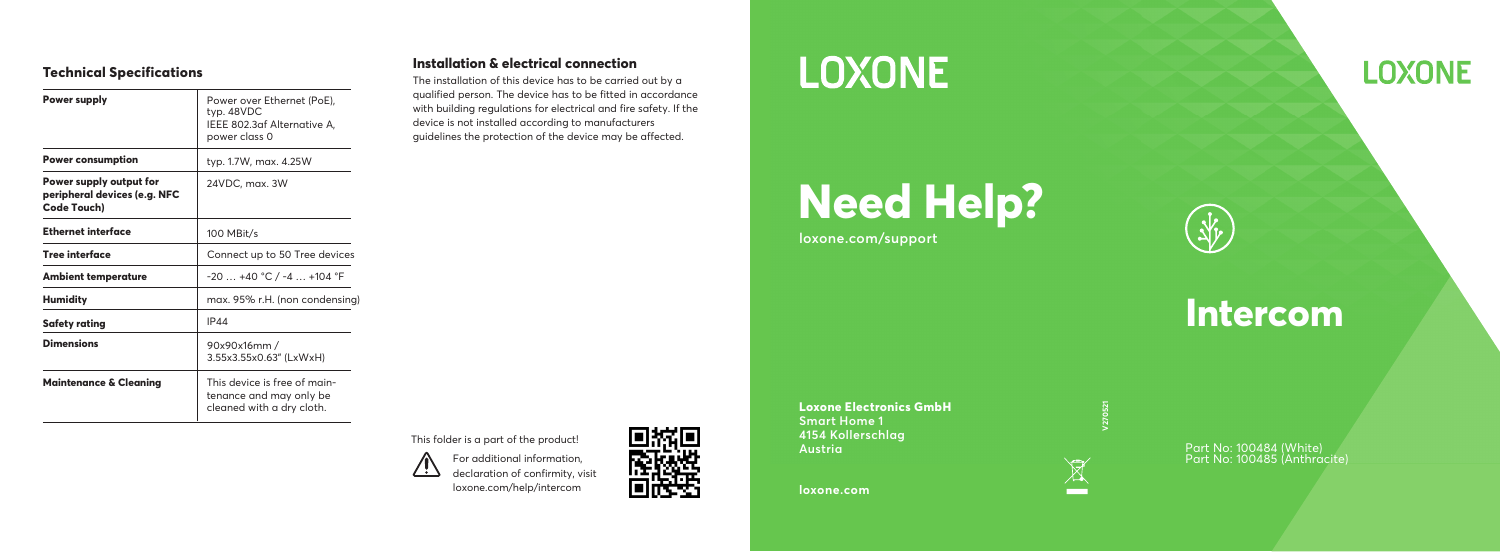### **Technical Specifications**

| Power supply                                                           | Power over Ethernet (PoE),<br>typ. 48VDC<br>IEEE 802.3af Alternative A,<br>power class 0 |
|------------------------------------------------------------------------|------------------------------------------------------------------------------------------|
| <b>Power consumption</b>                                               | typ. 1.7W, max. 4.25W                                                                    |
| Power supply output for<br>peripheral devices (e.g. NFC<br>Code Touch) | 24VDC, max. 3W                                                                           |
| Ethernet interface                                                     | 100 MBit/s                                                                               |
| Tree interface                                                         | Connect up to 50 Tree devices                                                            |
| <b>Ambient temperature</b>                                             | $-20+40$ °C / $-4+104$ °F                                                                |
| <b>Humidity</b>                                                        | max. 95% r.H. (non condensing)                                                           |
| Safety rating                                                          | IP44                                                                                     |
| <b>Dimensions</b>                                                      | 90x90x16mm /<br>3.55x3.55x0.63" (LxWxH)                                                  |
| <b>Maintenance &amp; Cleaning</b>                                      | This device is free of main-<br>tenance and may only be<br>cleaned with a dry cloth.     |

### **Installation & electrical connection**

The installation of this device has to be carried out by a qualified person. The device has to be fitted in accordance with building regulations for electrical and fire safety. If the device is not installed according to manufacturers guidelines the protection of the device may be affected.

For additional information, declaration of confirmity, visit loxone.com/help/intercom This folder is a part of the product!



## **LOXONE**

# **Need Help?**

**loxone.com/support**

**Intercom**

 $\frac{1}{2}$ 

**Loxone Electronics GmbH Smart Home 1 4154 Kollerschlag Austria**

**loxone.com**



 $\boxtimes$ -

Part No: 100484 (White) Part No: 100485 (Anthracite)

### **LOXONE**